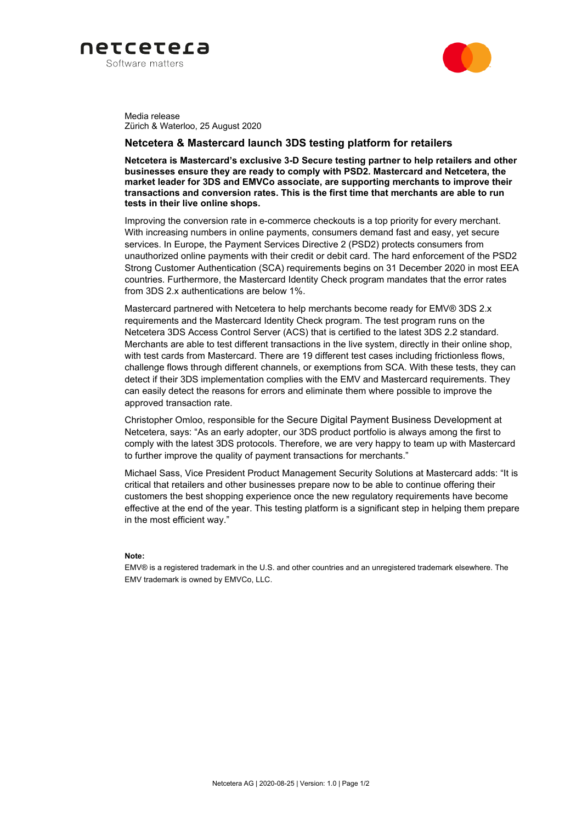



Media release Zürich & Waterloo, 25 August 2020

## **Netcetera & Mastercard launch 3DS testing platform for retailers**

**Netcetera is Mastercard's exclusive 3-D Secure testing partner to help retailers and other businesses ensure they are ready to comply with PSD2. Mastercard and Netcetera, the market leader for 3DS and EMVCo associate, are supporting merchants to improve their transactions and conversion rates. This is the first time that merchants are able to run tests in their live online shops.**

Improving the conversion rate in e-commerce checkouts is a top priority for every merchant. With increasing numbers in online payments, consumers demand fast and easy, yet secure services. In Europe, the Payment Services Directive 2 (PSD2) protects consumers from unauthorized online payments with their credit or debit card. The hard enforcement of the PSD2 Strong Customer Authentication (SCA) requirements begins on 31 December 2020 in most EEA countries. Furthermore, the Mastercard Identity Check program mandates that the error rates from 3DS 2.x authentications are below 1%.

Mastercard partnered with Netcetera to help merchants become ready for EMV® 3DS 2.x requirements and the Mastercard Identity Check program. The test program runs on the Netcetera 3DS Access Control Server (ACS) that is certified to the latest 3DS 2.2 standard. Merchants are able to test different transactions in the live system, directly in their online shop, with test cards from Mastercard. There are 19 different test cases including frictionless flows, challenge flows through different channels, or exemptions from SCA. With these tests, they can detect if their 3DS implementation complies with the EMV and Mastercard requirements. They can easily detect the reasons for errors and eliminate them where possible to improve the approved transaction rate.

Christopher Omloo, responsible for the Secure Digital Payment Business Development at Netcetera, says: "As an early adopter, our 3DS product portfolio is always among the first to comply with the latest 3DS protocols. Therefore, we are very happy to team up with Mastercard to further improve the quality of payment transactions for merchants."

Michael Sass, Vice President Product Management Security Solutions at Mastercard adds: "It is critical that retailers and other businesses prepare now to be able to continue offering their customers the best shopping experience once the new regulatory requirements have become effective at the end of the year. This testing platform is a significant step in helping them prepare in the most efficient way."

### **Note:**

EMV® is a registered trademark in the U.S. and other countries and an unregistered trademark elsewhere. The EMV trademark is owned by EMVCo, LLC.